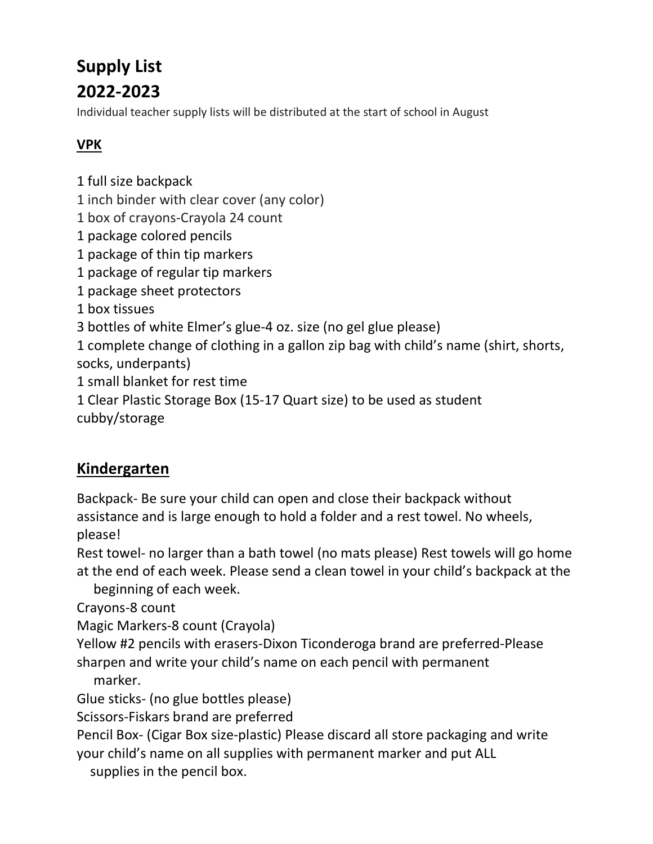# Supply List 2022-2023

Individual teacher supply lists will be distributed at the start of school in August

## VPK

- 1 full size backpack
- 1 inch binder with clear cover (any color)
- 1 box of crayons-Crayola 24 count
- 1 package colored pencils
- 1 package of thin tip markers
- 1 package of regular tip markers
- 1 package sheet protectors
- 1 box tissues
- 3 bottles of white Elmer's glue-4 oz. size (no gel glue please)
- 1 complete change of clothing in a gallon zip bag with child's name (shirt, shorts, socks, underpants)
- 1 small blanket for rest time
- 1 Clear Plastic Storage Box (15-17 Quart size) to be used as student

cubby/storage

## Kindergarten

Backpack- Be sure your child can open and close their backpack without assistance and is large enough to hold a folder and a rest towel. No wheels, please!

Rest towel- no larger than a bath towel (no mats please) Rest towels will go home at the end of each week. Please send a clean towel in your child's backpack at the

beginning of each week.

Crayons-8 count

Magic Markers-8 count (Crayola)

Yellow #2 pencils with erasers-Dixon Ticonderoga brand are preferred-Please sharpen and write your child's name on each pencil with permanent

marker.

Glue sticks- (no glue bottles please)

Scissors-Fiskars brand are preferred

Pencil Box- (Cigar Box size-plastic) Please discard all store packaging and write your child's name on all supplies with permanent marker and put ALL

supplies in the pencil box.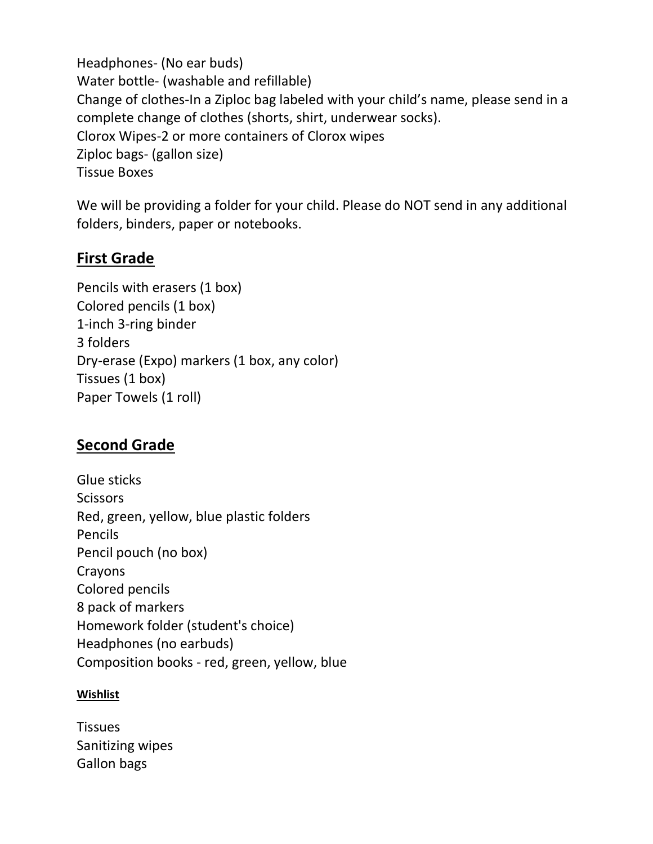Headphones- (No ear buds) Water bottle- (washable and refillable) Change of clothes-In a Ziploc bag labeled with your child's name, please send in a complete change of clothes (shorts, shirt, underwear socks). Clorox Wipes-2 or more containers of Clorox wipes Ziploc bags- (gallon size) Tissue Boxes

We will be providing a folder for your child. Please do NOT send in any additional folders, binders, paper or notebooks.

### First Grade

Pencils with erasers (1 box) Colored pencils (1 box) 1-inch 3-ring binder 3 folders Dry-erase (Expo) markers (1 box, any color) Tissues (1 box) Paper Towels (1 roll)

### Second Grade

Glue sticks **Scissors** Red, green, yellow, blue plastic folders Pencils Pencil pouch (no box) Crayons Colored pencils 8 pack of markers Homework folder (student's choice) Headphones (no earbuds) Composition books - red, green, yellow, blue

#### **Wishlist**

**Tissues** Sanitizing wipes Gallon bags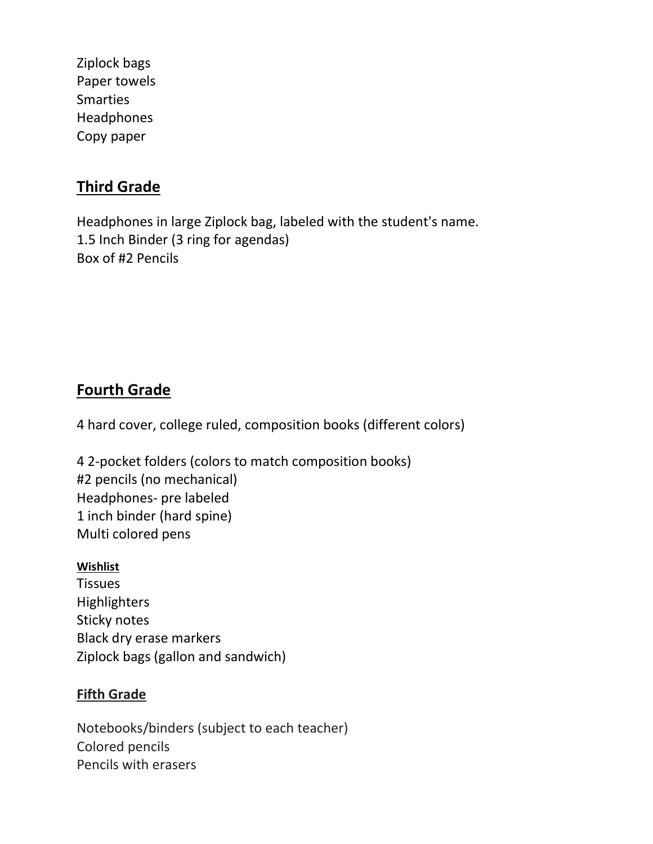Ziplock bags Paper towels Smarties Headphones Copy paper

## Third Grade

Headphones in large Ziplock bag, labeled with the student's name. 1.5 Inch Binder (3 ring for agendas) Box of #2 Pencils

## Fourth Grade

4 hard cover, college ruled, composition books (different colors)

4 2-pocket folders (colors to match composition books) #2 pencils (no mechanical) Headphones- pre labeled 1 inch binder (hard spine) Multi colored pens

#### **Wishlist**

**Tissues Highlighters** Sticky notes Black dry erase markers Ziplock bags (gallon and sandwich)

#### Fifth Grade

Notebooks/binders (subject to each teacher) Colored pencils Pencils with erasers